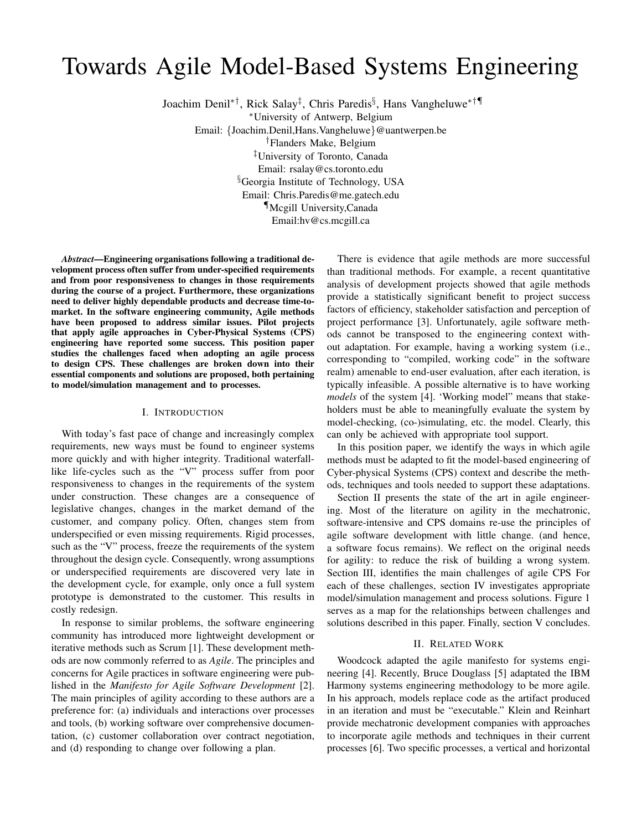# Towards Agile Model-Based Systems Engineering

Joachim Denil∗†, Rick Salay‡ , Chris Paredis§ , Hans Vangheluwe∗†¶

<sup>∗</sup>University of Antwerp, Belgium

Email: {Joachim.Denil,Hans.Vangheluwe}@uantwerpen.be †Flanders Make, Belgium

‡University of Toronto, Canada Email: rsalay@cs.toronto.edu §Georgia Institute of Technology, USA Email: Chris.Paredis@me.gatech.edu ¶Mcgill University,Canada

Email:hv@cs.mcgill.ca

*Abstract*—Engineering organisations following a traditional development process often suffer from under-specified requirements and from poor responsiveness to changes in those requirements during the course of a project. Furthermore, these organizations need to deliver highly dependable products and decrease time-tomarket. In the software engineering community, Agile methods have been proposed to address similar issues. Pilot projects that apply agile approaches in Cyber-Physical Systems (CPS) engineering have reported some success. This position paper studies the challenges faced when adopting an agile process to design CPS. These challenges are broken down into their essential components and solutions are proposed, both pertaining to model/simulation management and to processes.

## I. INTRODUCTION

With today's fast pace of change and increasingly complex requirements, new ways must be found to engineer systems more quickly and with higher integrity. Traditional waterfalllike life-cycles such as the "V" process suffer from poor responsiveness to changes in the requirements of the system under construction. These changes are a consequence of legislative changes, changes in the market demand of the customer, and company policy. Often, changes stem from underspecified or even missing requirements. Rigid processes, such as the "V" process, freeze the requirements of the system throughout the design cycle. Consequently, wrong assumptions or underspecified requirements are discovered very late in the development cycle, for example, only once a full system prototype is demonstrated to the customer. This results in costly redesign.

In response to similar problems, the software engineering community has introduced more lightweight development or iterative methods such as Scrum [1]. These development methods are now commonly referred to as *Agile*. The principles and concerns for Agile practices in software engineering were published in the *Manifesto for Agile Software Development* [2]. The main principles of agility according to these authors are a preference for: (a) individuals and interactions over processes and tools, (b) working software over comprehensive documentation, (c) customer collaboration over contract negotiation, and (d) responding to change over following a plan.

There is evidence that agile methods are more successful than traditional methods. For example, a recent quantitative analysis of development projects showed that agile methods provide a statistically significant benefit to project success factors of efficiency, stakeholder satisfaction and perception of project performance [3]. Unfortunately, agile software methods cannot be transposed to the engineering context without adaptation. For example, having a working system (i.e., corresponding to "compiled, working code" in the software realm) amenable to end-user evaluation, after each iteration, is typically infeasible. A possible alternative is to have working *models* of the system [4]. 'Working model" means that stakeholders must be able to meaningfully evaluate the system by model-checking, (co-)simulating, etc. the model. Clearly, this can only be achieved with appropriate tool support.

In this position paper, we identify the ways in which agile methods must be adapted to fit the model-based engineering of Cyber-physical Systems (CPS) context and describe the methods, techniques and tools needed to support these adaptations.

Section II presents the state of the art in agile engineering. Most of the literature on agility in the mechatronic, software-intensive and CPS domains re-use the principles of agile software development with little change. (and hence, a software focus remains). We reflect on the original needs for agility: to reduce the risk of building a wrong system. Section III, identifies the main challenges of agile CPS For each of these challenges, section IV investigates appropriate model/simulation management and process solutions. Figure 1 serves as a map for the relationships between challenges and solutions described in this paper. Finally, section V concludes.

#### II. RELATED WORK

Woodcock adapted the agile manifesto for systems engineering [4]. Recently, Bruce Douglass [5] adaptated the IBM Harmony systems engineering methodology to be more agile. In his approach, models replace code as the artifact produced in an iteration and must be "executable." Klein and Reinhart provide mechatronic development companies with approaches to incorporate agile methods and techniques in their current processes [6]. Two specific processes, a vertical and horizontal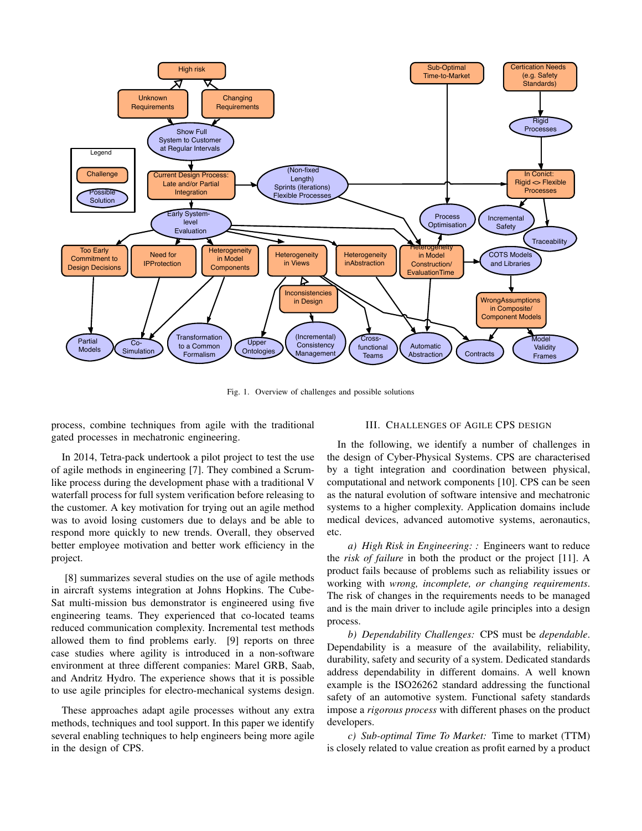

Fig. 1. Overview of challenges and possible solutions

process, combine techniques from agile with the traditional gated processes in mechatronic engineering.

III. CHALLENGES OF AGILE CPS DESIGN

In 2014, Tetra-pack undertook a pilot project to test the use of agile methods in engineering [7]. They combined a Scrumlike process during the development phase with a traditional V waterfall process for full system verification before releasing to the customer. A key motivation for trying out an agile method was to avoid losing customers due to delays and be able to respond more quickly to new trends. Overall, they observed better employee motivation and better work efficiency in the project.

[8] summarizes several studies on the use of agile methods in aircraft systems integration at Johns Hopkins. The Cube-Sat multi-mission bus demonstrator is engineered using five engineering teams. They experienced that co-located teams reduced communication complexity. Incremental test methods allowed them to find problems early. [9] reports on three case studies where agility is introduced in a non-software environment at three different companies: Marel GRB, Saab, and Andritz Hydro. The experience shows that it is possible to use agile principles for electro-mechanical systems design.

These approaches adapt agile processes without any extra methods, techniques and tool support. In this paper we identify several enabling techniques to help engineers being more agile in the design of CPS.

In the following, we identify a number of challenges in the design of Cyber-Physical Systems. CPS are characterised by a tight integration and coordination between physical, computational and network components [10]. CPS can be seen as the natural evolution of software intensive and mechatronic systems to a higher complexity. Application domains include medical devices, advanced automotive systems, aeronautics, etc.

*a) High Risk in Engineering: :* Engineers want to reduce the *risk of failure* in both the product or the project [11]. A product fails because of problems such as reliability issues or working with *wrong, incomplete, or changing requirements*. The risk of changes in the requirements needs to be managed and is the main driver to include agile principles into a design process.

*b) Dependability Challenges:* CPS must be *dependable*. Dependability is a measure of the availability, reliability, durability, safety and security of a system. Dedicated standards address dependability in different domains. A well known example is the ISO26262 standard addressing the functional safety of an automotive system. Functional safety standards impose a *rigorous process* with different phases on the product developers.

*c) Sub-optimal Time To Market:* Time to market (TTM) is closely related to value creation as profit earned by a product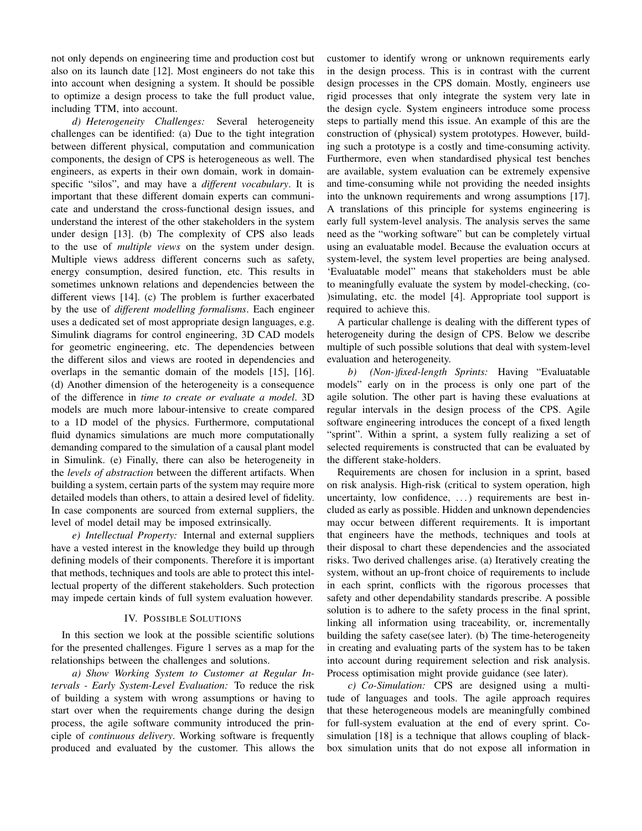not only depends on engineering time and production cost but also on its launch date [12]. Most engineers do not take this into account when designing a system. It should be possible to optimize a design process to take the full product value, including TTM, into account.

*d) Heterogeneity Challenges:* Several heterogeneity challenges can be identified: (a) Due to the tight integration between different physical, computation and communication components, the design of CPS is heterogeneous as well. The engineers, as experts in their own domain, work in domainspecific "silos", and may have a *different vocabulary*. It is important that these different domain experts can communicate and understand the cross-functional design issues, and understand the interest of the other stakeholders in the system under design [13]. (b) The complexity of CPS also leads to the use of *multiple views* on the system under design. Multiple views address different concerns such as safety, energy consumption, desired function, etc. This results in sometimes unknown relations and dependencies between the different views [14]. (c) The problem is further exacerbated by the use of *different modelling formalisms*. Each engineer uses a dedicated set of most appropriate design languages, e.g. Simulink diagrams for control engineering, 3D CAD models for geometric engineering, etc. The dependencies between the different silos and views are rooted in dependencies and overlaps in the semantic domain of the models [15], [16]. (d) Another dimension of the heterogeneity is a consequence of the difference in *time to create or evaluate a model*. 3D models are much more labour-intensive to create compared to a 1D model of the physics. Furthermore, computational fluid dynamics simulations are much more computationally demanding compared to the simulation of a causal plant model in Simulink. (e) Finally, there can also be heterogeneity in the *levels of abstraction* between the different artifacts. When building a system, certain parts of the system may require more detailed models than others, to attain a desired level of fidelity. In case components are sourced from external suppliers, the level of model detail may be imposed extrinsically.

*e) Intellectual Property:* Internal and external suppliers have a vested interest in the knowledge they build up through defining models of their components. Therefore it is important that methods, techniques and tools are able to protect this intellectual property of the different stakeholders. Such protection may impede certain kinds of full system evaluation however.

# IV. POSSIBLE SOLUTIONS

In this section we look at the possible scientific solutions for the presented challenges. Figure 1 serves as a map for the relationships between the challenges and solutions.

*a) Show Working System to Customer at Regular Intervals - Early System-Level Evaluation:* To reduce the risk of building a system with wrong assumptions or having to start over when the requirements change during the design process, the agile software community introduced the principle of *continuous delivery*. Working software is frequently produced and evaluated by the customer. This allows the customer to identify wrong or unknown requirements early in the design process. This is in contrast with the current design processes in the CPS domain. Mostly, engineers use rigid processes that only integrate the system very late in the design cycle. System engineers introduce some process steps to partially mend this issue. An example of this are the construction of (physical) system prototypes. However, building such a prototype is a costly and time-consuming activity. Furthermore, even when standardised physical test benches are available, system evaluation can be extremely expensive and time-consuming while not providing the needed insights into the unknown requirements and wrong assumptions [17]. A translations of this principle for systems engineering is early full system-level analysis. The analysis serves the same need as the "working software" but can be completely virtual using an evaluatable model. Because the evaluation occurs at system-level, the system level properties are being analysed. 'Evaluatable model" means that stakeholders must be able to meaningfully evaluate the system by model-checking, (co- )simulating, etc. the model [4]. Appropriate tool support is required to achieve this.

A particular challenge is dealing with the different types of heterogeneity during the design of CPS. Below we describe multiple of such possible solutions that deal with system-level evaluation and heterogeneity.

*b) (Non-)fixed-length Sprints:* Having "Evaluatable models" early on in the process is only one part of the agile solution. The other part is having these evaluations at regular intervals in the design process of the CPS. Agile software engineering introduces the concept of a fixed length "sprint". Within a sprint, a system fully realizing a set of selected requirements is constructed that can be evaluated by the different stake-holders.

Requirements are chosen for inclusion in a sprint, based on risk analysis. High-risk (critical to system operation, high uncertainty, low confidence, . . . ) requirements are best included as early as possible. Hidden and unknown dependencies may occur between different requirements. It is important that engineers have the methods, techniques and tools at their disposal to chart these dependencies and the associated risks. Two derived challenges arise. (a) Iteratively creating the system, without an up-front choice of requirements to include in each sprint, conflicts with the rigorous processes that safety and other dependability standards prescribe. A possible solution is to adhere to the safety process in the final sprint, linking all information using traceability, or, incrementally building the safety case(see later). (b) The time-heterogeneity in creating and evaluating parts of the system has to be taken into account during requirement selection and risk analysis. Process optimisation might provide guidance (see later).

*c) Co-Simulation:* CPS are designed using a multitude of languages and tools. The agile approach requires that these heterogeneous models are meaningfully combined for full-system evaluation at the end of every sprint. Cosimulation [18] is a technique that allows coupling of blackbox simulation units that do not expose all information in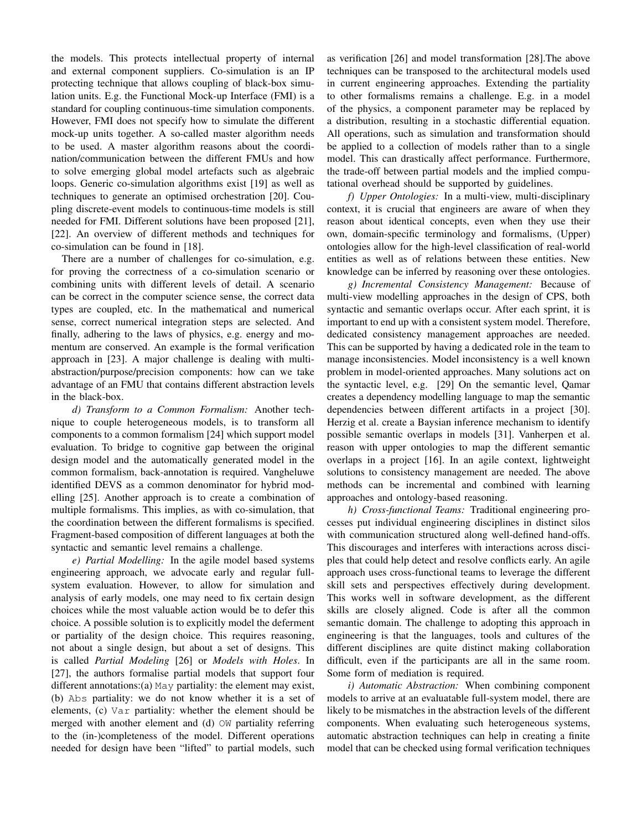the models. This protects intellectual property of internal and external component suppliers. Co-simulation is an IP protecting technique that allows coupling of black-box simulation units. E.g. the Functional Mock-up Interface (FMI) is a standard for coupling continuous-time simulation components. However, FMI does not specify how to simulate the different mock-up units together. A so-called master algorithm needs to be used. A master algorithm reasons about the coordination/communication between the different FMUs and how to solve emerging global model artefacts such as algebraic loops. Generic co-simulation algorithms exist [19] as well as techniques to generate an optimised orchestration [20]. Coupling discrete-event models to continuous-time models is still needed for FMI. Different solutions have been proposed [21], [22]. An overview of different methods and techniques for co-simulation can be found in [18].

There are a number of challenges for co-simulation, e.g. for proving the correctness of a co-simulation scenario or combining units with different levels of detail. A scenario can be correct in the computer science sense, the correct data types are coupled, etc. In the mathematical and numerical sense, correct numerical integration steps are selected. And finally, adhering to the laws of physics, e.g. energy and momentum are conserved. An example is the formal verification approach in [23]. A major challenge is dealing with multiabstraction/purpose/precision components: how can we take advantage of an FMU that contains different abstraction levels in the black-box.

*d) Transform to a Common Formalism:* Another technique to couple heterogeneous models, is to transform all components to a common formalism [24] which support model evaluation. To bridge to cognitive gap between the original design model and the automatically generated model in the common formalism, back-annotation is required. Vangheluwe identified DEVS as a common denominator for hybrid modelling [25]. Another approach is to create a combination of multiple formalisms. This implies, as with co-simulation, that the coordination between the different formalisms is specified. Fragment-based composition of different languages at both the syntactic and semantic level remains a challenge.

*e) Partial Modelling:* In the agile model based systems engineering approach, we advocate early and regular fullsystem evaluation. However, to allow for simulation and analysis of early models, one may need to fix certain design choices while the most valuable action would be to defer this choice. A possible solution is to explicitly model the deferment or partiality of the design choice. This requires reasoning, not about a single design, but about a set of designs. This is called *Partial Modeling* [26] or *Models with Holes*. In [27], the authors formalise partial models that support four different annotations:(a) May partiality: the element may exist, (b) Abs partiality: we do not know whether it is a set of elements, (c) Var partiality: whether the element should be merged with another element and (d) OW partiality referring to the (in-)completeness of the model. Different operations needed for design have been "lifted" to partial models, such as verification [26] and model transformation [28].The above techniques can be transposed to the architectural models used in current engineering approaches. Extending the partiality to other formalisms remains a challenge. E.g. in a model of the physics, a component parameter may be replaced by a distribution, resulting in a stochastic differential equation. All operations, such as simulation and transformation should be applied to a collection of models rather than to a single model. This can drastically affect performance. Furthermore, the trade-off between partial models and the implied computational overhead should be supported by guidelines.

*f) Upper Ontologies:* In a multi-view, multi-disciplinary context, it is crucial that engineers are aware of when they reason about identical concepts, even when they use their own, domain-specific terminology and formalisms, (Upper) ontologies allow for the high-level classification of real-world entities as well as of relations between these entities. New knowledge can be inferred by reasoning over these ontologies.

*g) Incremental Consistency Management:* Because of multi-view modelling approaches in the design of CPS, both syntactic and semantic overlaps occur. After each sprint, it is important to end up with a consistent system model. Therefore, dedicated consistency management approaches are needed. This can be supported by having a dedicated role in the team to manage inconsistencies. Model inconsistency is a well known problem in model-oriented approaches. Many solutions act on the syntactic level, e.g. [29] On the semantic level, Qamar creates a dependency modelling language to map the semantic dependencies between different artifacts in a project [30]. Herzig et al. create a Baysian inference mechanism to identify possible semantic overlaps in models [31]. Vanherpen et al. reason with upper ontologies to map the different semantic overlaps in a project [16]. In an agile context, lightweight solutions to consistency management are needed. The above methods can be incremental and combined with learning approaches and ontology-based reasoning.

*h) Cross-functional Teams:* Traditional engineering processes put individual engineering disciplines in distinct silos with communication structured along well-defined hand-offs. This discourages and interferes with interactions across disciples that could help detect and resolve conflicts early. An agile approach uses cross-functional teams to leverage the different skill sets and perspectives effectively during development. This works well in software development, as the different skills are closely aligned. Code is after all the common semantic domain. The challenge to adopting this approach in engineering is that the languages, tools and cultures of the different disciplines are quite distinct making collaboration difficult, even if the participants are all in the same room. Some form of mediation is required.

*i) Automatic Abstraction:* When combining component models to arrive at an evaluatable full-system model, there are likely to be mismatches in the abstraction levels of the different components. When evaluating such heterogeneous systems, automatic abstraction techniques can help in creating a finite model that can be checked using formal verification techniques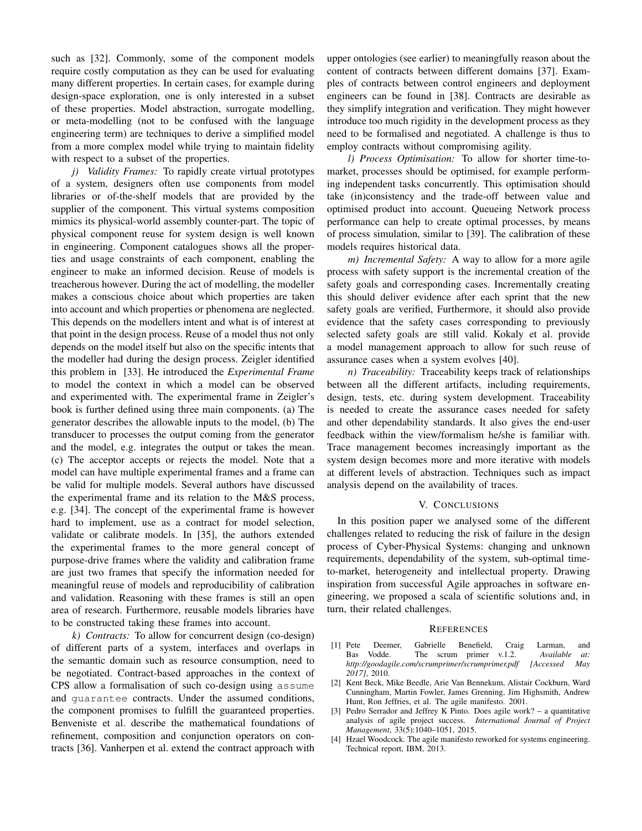such as [32]. Commonly, some of the component models require costly computation as they can be used for evaluating many different properties. In certain cases, for example during design-space exploration, one is only interested in a subset of these properties. Model abstraction, surrogate modelling, or meta-modelling (not to be confused with the language engineering term) are techniques to derive a simplified model from a more complex model while trying to maintain fidelity with respect to a subset of the properties.

*j) Validity Frames:* To rapidly create virtual prototypes of a system, designers often use components from model libraries or of-the-shelf models that are provided by the supplier of the component. This virtual systems composition mimics its physical-world assembly counter-part. The topic of physical component reuse for system design is well known in engineering. Component catalogues shows all the properties and usage constraints of each component, enabling the engineer to make an informed decision. Reuse of models is treacherous however. During the act of modelling, the modeller makes a conscious choice about which properties are taken into account and which properties or phenomena are neglected. This depends on the modellers intent and what is of interest at that point in the design process. Reuse of a model thus not only depends on the model itself but also on the specific intents that the modeller had during the design process. Zeigler identified this problem in [33]. He introduced the *Experimental Frame* to model the context in which a model can be observed and experimented with. The experimental frame in Zeigler's book is further defined using three main components. (a) The generator describes the allowable inputs to the model, (b) The transducer to processes the output coming from the generator and the model, e.g. integrates the output or takes the mean. (c) The acceptor accepts or rejects the model. Note that a model can have multiple experimental frames and a frame can be valid for multiple models. Several authors have discussed the experimental frame and its relation to the M&S process, e.g. [34]. The concept of the experimental frame is however hard to implement, use as a contract for model selection, validate or calibrate models. In [35], the authors extended the experimental frames to the more general concept of purpose-drive frames where the validity and calibration frame are just two frames that specify the information needed for meaningful reuse of models and reproducibility of calibration and validation. Reasoning with these frames is still an open area of research. Furthermore, reusable models libraries have to be constructed taking these frames into account.

*k) Contracts:* To allow for concurrent design (co-design) of different parts of a system, interfaces and overlaps in the semantic domain such as resource consumption, need to be negotiated. Contract-based approaches in the context of CPS allow a formalisation of such co-design using assume and guarantee contracts. Under the assumed conditions, the component promises to fulfill the guaranteed properties. Benveniste et al. describe the mathematical foundations of refinement, composition and conjunction operators on contracts [36]. Vanherpen et al. extend the contract approach with upper ontologies (see earlier) to meaningfully reason about the content of contracts between different domains [37]. Examples of contracts between control engineers and deployment engineers can be found in [38]. Contracts are desirable as they simplify integration and verification. They might however introduce too much rigidity in the development process as they need to be formalised and negotiated. A challenge is thus to employ contracts without compromising agility.

*l) Process Optimisation:* To allow for shorter time-tomarket, processes should be optimised, for example performing independent tasks concurrently. This optimisation should take (in)consistency and the trade-off between value and optimised product into account. Queueing Network process performance can help to create optimal processes, by means of process simulation, similar to [39]. The calibration of these models requires historical data.

*m) Incremental Safety:* A way to allow for a more agile process with safety support is the incremental creation of the safety goals and corresponding cases. Incrementally creating this should deliver evidence after each sprint that the new safety goals are verified, Furthermore, it should also provide evidence that the safety cases corresponding to previously selected safety goals are still valid. Kokaly et al. provide a model management approach to allow for such reuse of assurance cases when a system evolves [40].

*n) Traceability:* Traceability keeps track of relationships between all the different artifacts, including requirements, design, tests, etc. during system development. Traceability is needed to create the assurance cases needed for safety and other dependability standards. It also gives the end-user feedback within the view/formalism he/she is familiar with. Trace management becomes increasingly important as the system design becomes more and more iterative with models at different levels of abstraction. Techniques such as impact analysis depend on the availability of traces.

### V. CONCLUSIONS

In this position paper we analysed some of the different challenges related to reducing the risk of failure in the design process of Cyber-Physical Systems: changing and unknown requirements, dependability of the system, sub-optimal timeto-market, heterogeneity and intellectual property. Drawing inspiration from successful Agile approaches in software engineering, we proposed a scala of scientific solutions and, in turn, their related challenges.

## **REFERENCES**

- [1] Pete Deemer, Gabrielle Benefield, Craig Larman, and Bas Vodde. The scrum primer v.1.2. *Available at: http://goodagile.com/scrumprimer/scrumprimer.pdf [Accessed May 2017]*, 2010.
- [2] Kent Beck, Mike Beedle, Arie Van Bennekum, Alistair Cockburn, Ward Cunningham, Martin Fowler, James Grenning, Jim Highsmith, Andrew Hunt, Ron Jeffries, et al. The agile manifesto. 2001.
- [3] Pedro Serrador and Jeffrey K Pinto. Does agile work? a quantitative analysis of agile project success. *International Journal of Project Management*, 33(5):1040–1051, 2015.
- [4] Hzael Woodcock. The agile manifesto reworked for systems engineering. Technical report, IBM, 2013.